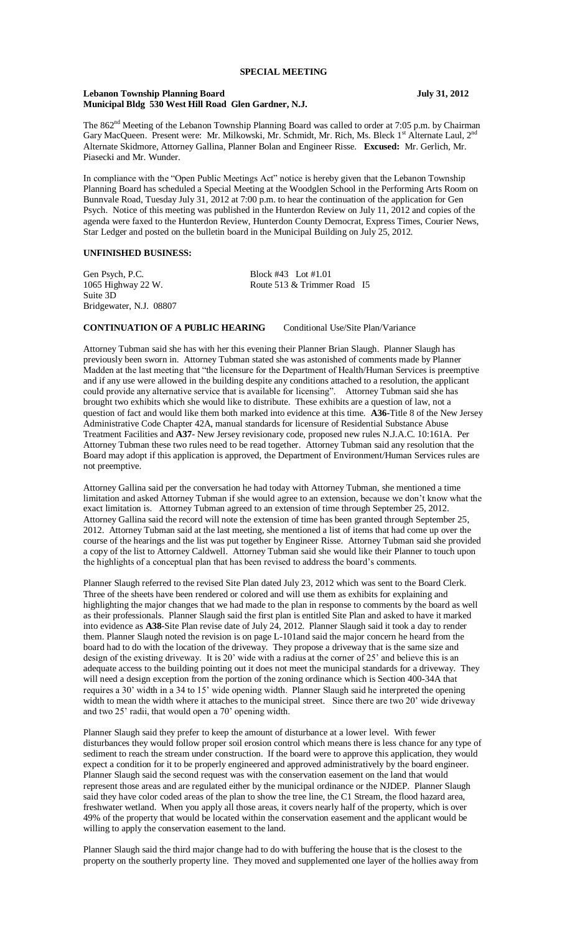#### **Lebanon Township Planning Board July 31, 2012 Municipal Bldg 530 West Hill Road Glen Gardner, N.J.**

The 862<sup>nd</sup> Meeting of the Lebanon Township Planning Board was called to order at 7:05 p.m. by Chairman Gary MacQueen. Present were: Mr. Milkowski, Mr. Schmidt, Mr. Rich, Ms. Bleck 1<sup>st</sup> Alternate Laul, 2<sup>n</sup> Alternate Skidmore, Attorney Gallina, Planner Bolan and Engineer Risse. **Excused:** Mr. Gerlich, Mr. Piasecki and Mr. Wunder.

In compliance with the "Open Public Meetings Act" notice is hereby given that the Lebanon Township Planning Board has scheduled a Special Meeting at the Woodglen School in the Performing Arts Room on Bunnvale Road, Tuesday July 31, 2012 at 7:00 p.m. to hear the continuation of the application for Gen Psych. Notice of this meeting was published in the Hunterdon Review on July 11, 2012 and copies of the agenda were faxed to the Hunterdon Review, Hunterdon County Democrat, Express Times, Courier News, Star Ledger and posted on the bulletin board in the Municipal Building on July 25, 2012.

## **UNFINISHED BUSINESS:**

Gen Psych, P.C.<br>1065 Highway 22 W. Block #43 Lot #1.01<br>Route 513 & Trimmer Suite 3D Bridgewater, N.J. 08807

Route 513 & Trimmer Road I5

### **CONTINUATION OF A PUBLIC HEARING** Conditional Use/Site Plan/Variance

Attorney Tubman said she has with her this evening their Planner Brian Slaugh. Planner Slaugh has previously been sworn in. Attorney Tubman stated she was astonished of comments made by Planner Madden at the last meeting that "the licensure for the Department of Health/Human Services is preemptive and if any use were allowed in the building despite any conditions attached to a resolution, the applicant could provide any alternative service that is available for licensing". Attorney Tubman said she has brought two exhibits which she would like to distribute. These exhibits are a question of law, not a question of fact and would like them both marked into evidence at this time. **A36-**Title 8 of the New Jersey Administrative Code Chapter 42A, manual standards for licensure of Residential Substance Abuse Treatment Facilities and **A37**- New Jersey revisionary code, proposed new rules N.J.A.C. 10:161A. Per Attorney Tubman these two rules need to be read together. Attorney Tubman said any resolution that the Board may adopt if this application is approved, the Department of Environment/Human Services rules are not preemptive.

Attorney Gallina said per the conversation he had today with Attorney Tubman, she mentioned a time limitation and asked Attorney Tubman if she would agree to an extension, because we don't know what the exact limitation is. Attorney Tubman agreed to an extension of time through September 25, 2012. Attorney Gallina said the record will note the extension of time has been granted through September 25, 2012. Attorney Tubman said at the last meeting, she mentioned a list of items that had come up over the course of the hearings and the list was put together by Engineer Risse. Attorney Tubman said she provided a copy of the list to Attorney Caldwell. Attorney Tubman said she would like their Planner to touch upon the highlights of a conceptual plan that has been revised to address the board's comments.

Planner Slaugh referred to the revised Site Plan dated July 23, 2012 which was sent to the Board Clerk. Three of the sheets have been rendered or colored and will use them as exhibits for explaining and highlighting the major changes that we had made to the plan in response to comments by the board as well as their professionals. Planner Slaugh said the first plan is entitled Site Plan and asked to have it marked into evidence as **A38**-Site Plan revise date of July 24, 2012. Planner Slaugh said it took a day to render them. Planner Slaugh noted the revision is on page L-101and said the major concern he heard from the board had to do with the location of the driveway. They propose a driveway that is the same size and design of the existing driveway. It is 20' wide with a radius at the corner of 25' and believe this is an adequate access to the building pointing out it does not meet the municipal standards for a driveway. They will need a design exception from the portion of the zoning ordinance which is Section 400-34A that requires a 30' width in a 34 to 15' wide opening width. Planner Slaugh said he interpreted the opening width to mean the width where it attaches to the municipal street. Since there are two 20' wide driveway and two 25' radii, that would open a 70' opening width.

Planner Slaugh said they prefer to keep the amount of disturbance at a lower level. With fewer disturbances they would follow proper soil erosion control which means there is less chance for any type of sediment to reach the stream under construction. If the board were to approve this application, they would expect a condition for it to be properly engineered and approved administratively by the board engineer. Planner Slaugh said the second request was with the conservation easement on the land that would represent those areas and are regulated either by the municipal ordinance or the NJDEP. Planner Slaugh said they have color coded areas of the plan to show the tree line, the C1 Stream, the flood hazard area, freshwater wetland. When you apply all those areas, it covers nearly half of the property, which is over 49% of the property that would be located within the conservation easement and the applicant would be willing to apply the conservation easement to the land.

Planner Slaugh said the third major change had to do with buffering the house that is the closest to the property on the southerly property line. They moved and supplemented one layer of the hollies away from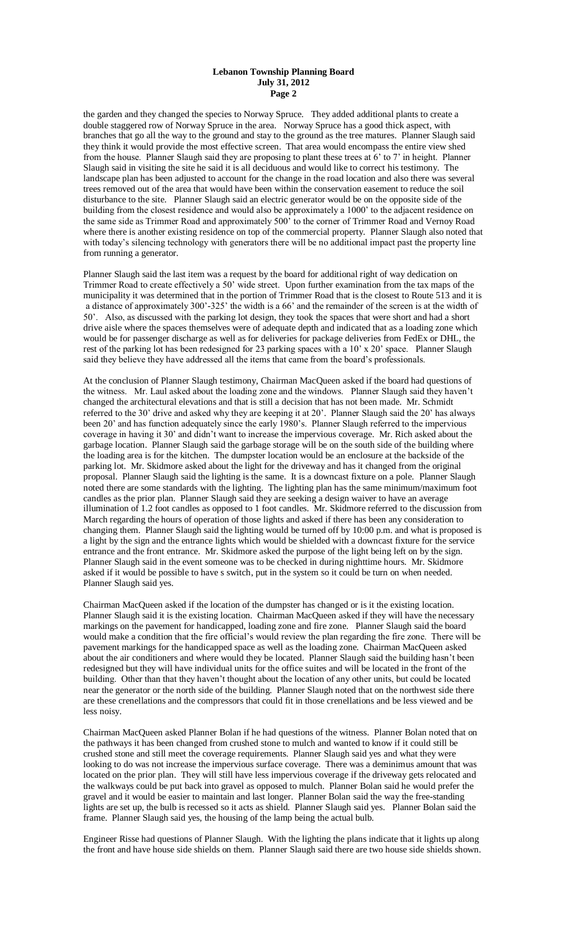#### **Lebanon Township Planning Board July 31, 2012 Page 2**

the garden and they changed the species to Norway Spruce. They added additional plants to create a double staggered row of Norway Spruce in the area. Norway Spruce has a good thick aspect, with branches that go all the way to the ground and stay to the ground as the tree matures. Planner Slaugh said they think it would provide the most effective screen. That area would encompass the entire view shed from the house. Planner Slaugh said they are proposing to plant these trees at 6' to 7' in height. Planner Slaugh said in visiting the site he said it is all deciduous and would like to correct his testimony. The landscape plan has been adjusted to account for the change in the road location and also there was several trees removed out of the area that would have been within the conservation easement to reduce the soil disturbance to the site. Planner Slaugh said an electric generator would be on the opposite side of the building from the closest residence and would also be approximately a 1000' to the adjacent residence on the same side as Trimmer Road and approximately 500' to the corner of Trimmer Road and Vernoy Road where there is another existing residence on top of the commercial property. Planner Slaugh also noted that with today's silencing technology with generators there will be no additional impact past the property line from running a generator.

Planner Slaugh said the last item was a request by the board for additional right of way dedication on Trimmer Road to create effectively a 50' wide street. Upon further examination from the tax maps of the municipality it was determined that in the portion of Trimmer Road that is the closest to Route 513 and it is a distance of approximately 300'-325' the width is a 66' and the remainder of the screen is at the width of 50'. Also, as discussed with the parking lot design, they took the spaces that were short and had a short drive aisle where the spaces themselves were of adequate depth and indicated that as a loading zone which would be for passenger discharge as well as for deliveries for package deliveries from FedEx or DHL, the rest of the parking lot has been redesigned for 23 parking spaces with a 10' x 20' space. Planner Slaugh said they believe they have addressed all the items that came from the board's professionals.

At the conclusion of Planner Slaugh testimony, Chairman MacQueen asked if the board had questions of the witness. Mr. Laul asked about the loading zone and the windows. Planner Slaugh said they haven't changed the architectural elevations and that is still a decision that has not been made. Mr. Schmidt referred to the 30' drive and asked why they are keeping it at 20'. Planner Slaugh said the 20' has always been 20' and has function adequately since the early 1980's. Planner Slaugh referred to the impervious coverage in having it 30' and didn't want to increase the impervious coverage. Mr. Rich asked about the garbage location. Planner Slaugh said the garbage storage will be on the south side of the building where the loading area is for the kitchen. The dumpster location would be an enclosure at the backside of the parking lot. Mr. Skidmore asked about the light for the driveway and has it changed from the original proposal. Planner Slaugh said the lighting is the same. It is a downcast fixture on a pole. Planner Slaugh noted there are some standards with the lighting. The lighting plan has the same minimum/maximum foot candles as the prior plan. Planner Slaugh said they are seeking a design waiver to have an average illumination of 1.2 foot candles as opposed to 1 foot candles. Mr. Skidmore referred to the discussion from March regarding the hours of operation of those lights and asked if there has been any consideration to changing them. Planner Slaugh said the lighting would be turned off by 10:00 p.m. and what is proposed is a light by the sign and the entrance lights which would be shielded with a downcast fixture for the service entrance and the front entrance. Mr. Skidmore asked the purpose of the light being left on by the sign. Planner Slaugh said in the event someone was to be checked in during nighttime hours. Mr. Skidmore asked if it would be possible to have s switch, put in the system so it could be turn on when needed. Planner Slaugh said yes.

Chairman MacQueen asked if the location of the dumpster has changed or is it the existing location. Planner Slaugh said it is the existing location. Chairman MacQueen asked if they will have the necessary markings on the pavement for handicapped, loading zone and fire zone. Planner Slaugh said the board would make a condition that the fire official's would review the plan regarding the fire zone. There will be pavement markings for the handicapped space as well as the loading zone. Chairman MacQueen asked about the air conditioners and where would they be located. Planner Slaugh said the building hasn't been redesigned but they will have individual units for the office suites and will be located in the front of the building. Other than that they haven't thought about the location of any other units, but could be located near the generator or the north side of the building. Planner Slaugh noted that on the northwest side there are these crenellations and the compressors that could fit in those crenellations and be less viewed and be less noisy.

Chairman MacQueen asked Planner Bolan if he had questions of the witness. Planner Bolan noted that on the pathways it has been changed from crushed stone to mulch and wanted to know if it could still be crushed stone and still meet the coverage requirements. Planner Slaugh said yes and what they were looking to do was not increase the impervious surface coverage. There was a deminimus amount that was located on the prior plan. They will still have less impervious coverage if the driveway gets relocated and the walkways could be put back into gravel as opposed to mulch. Planner Bolan said he would prefer the gravel and it would be easier to maintain and last longer. Planner Bolan said the way the free-standing lights are set up, the bulb is recessed so it acts as shield. Planner Slaugh said yes. Planner Bolan said the frame. Planner Slaugh said yes, the housing of the lamp being the actual bulb.

Engineer Risse had questions of Planner Slaugh. With the lighting the plans indicate that it lights up along the front and have house side shields on them. Planner Slaugh said there are two house side shields shown.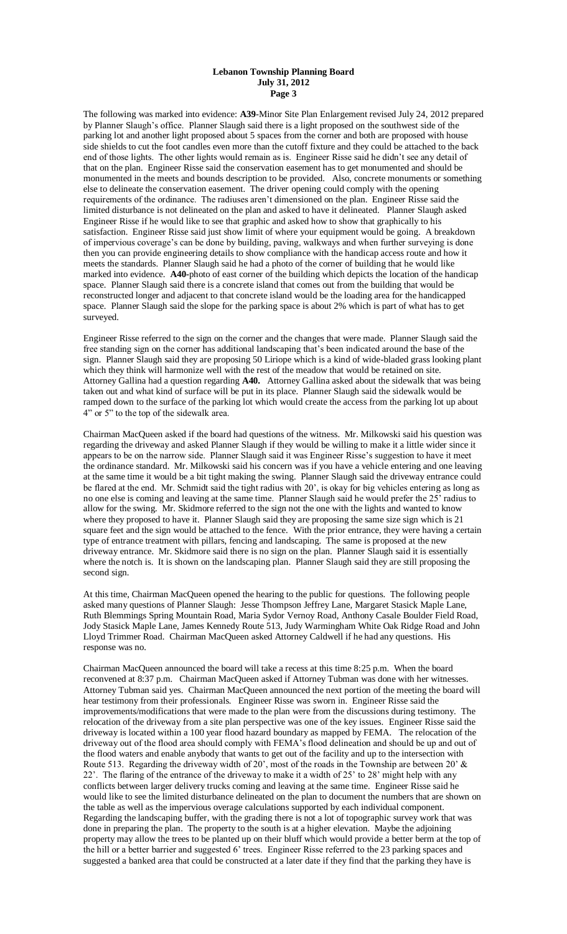#### **Lebanon Township Planning Board July 31, 2012 Page 3**

The following was marked into evidence: **A39**-Minor Site Plan Enlargement revised July 24, 2012 prepared by Planner Slaugh's office. Planner Slaugh said there is a light proposed on the southwest side of the parking lot and another light proposed about 5 spaces from the corner and both are proposed with house side shields to cut the foot candles even more than the cutoff fixture and they could be attached to the back end of those lights. The other lights would remain as is. Engineer Risse said he didn't see any detail of that on the plan. Engineer Risse said the conservation easement has to get monumented and should be monumented in the meets and bounds description to be provided. Also, concrete monuments or something else to delineate the conservation easement. The driver opening could comply with the opening requirements of the ordinance. The radiuses aren't dimensioned on the plan. Engineer Risse said the limited disturbance is not delineated on the plan and asked to have it delineated. Planner Slaugh asked Engineer Risse if he would like to see that graphic and asked how to show that graphically to his satisfaction. Engineer Risse said just show limit of where your equipment would be going. A breakdown of impervious coverage's can be done by building, paving, walkways and when further surveying is done then you can provide engineering details to show compliance with the handicap access route and how it meets the standards. Planner Slaugh said he had a photo of the corner of building that he would like marked into evidence. **A40-**photo of east corner of the building which depicts the location of the handicap space. Planner Slaugh said there is a concrete island that comes out from the building that would be reconstructed longer and adjacent to that concrete island would be the loading area for the handicapped space. Planner Slaugh said the slope for the parking space is about 2% which is part of what has to get surveyed.

Engineer Risse referred to the sign on the corner and the changes that were made. Planner Slaugh said the free standing sign on the corner has additional landscaping that's been indicated around the base of the sign. Planner Slaugh said they are proposing 50 Liriope which is a kind of wide-bladed grass looking plant which they think will harmonize well with the rest of the meadow that would be retained on site. Attorney Gallina had a question regarding **A40.** Attorney Gallina asked about the sidewalk that was being taken out and what kind of surface will be put in its place. Planner Slaugh said the sidewalk would be ramped down to the surface of the parking lot which would create the access from the parking lot up about 4" or 5" to the top of the sidewalk area.

Chairman MacQueen asked if the board had questions of the witness. Mr. Milkowski said his question was regarding the driveway and asked Planner Slaugh if they would be willing to make it a little wider since it appears to be on the narrow side. Planner Slaugh said it was Engineer Risse's suggestion to have it meet the ordinance standard. Mr. Milkowski said his concern was if you have a vehicle entering and one leaving at the same time it would be a bit tight making the swing. Planner Slaugh said the driveway entrance could be flared at the end. Mr. Schmidt said the tight radius with 20', is okay for big vehicles entering as long as no one else is coming and leaving at the same time. Planner Slaugh said he would prefer the 25' radius to allow for the swing. Mr. Skidmore referred to the sign not the one with the lights and wanted to know where they proposed to have it. Planner Slaugh said they are proposing the same size sign which is 21 square feet and the sign would be attached to the fence. With the prior entrance, they were having a certain type of entrance treatment with pillars, fencing and landscaping. The same is proposed at the new driveway entrance. Mr. Skidmore said there is no sign on the plan. Planner Slaugh said it is essentially where the notch is. It is shown on the landscaping plan. Planner Slaugh said they are still proposing the second sign.

At this time, Chairman MacQueen opened the hearing to the public for questions. The following people asked many questions of Planner Slaugh: Jesse Thompson Jeffrey Lane, Margaret Stasick Maple Lane, Ruth Blemmings Spring Mountain Road, Maria Sydor Vernoy Road, Anthony Casale Boulder Field Road, Jody Stasick Maple Lane, James Kennedy Route 513, Judy Warmingham White Oak Ridge Road and John Lloyd Trimmer Road. Chairman MacQueen asked Attorney Caldwell if he had any questions. His response was no.

Chairman MacQueen announced the board will take a recess at this time 8:25 p.m. When the board reconvened at 8:37 p.m. Chairman MacQueen asked if Attorney Tubman was done with her witnesses. Attorney Tubman said yes. Chairman MacQueen announced the next portion of the meeting the board will hear testimony from their professionals. Engineer Risse was sworn in. Engineer Risse said the improvements/modifications that were made to the plan were from the discussions during testimony. The relocation of the driveway from a site plan perspective was one of the key issues. Engineer Risse said the driveway is located within a 100 year flood hazard boundary as mapped by FEMA. The relocation of the driveway out of the flood area should comply with FEMA's flood delineation and should be up and out of the flood waters and enable anybody that wants to get out of the facility and up to the intersection with Route 513. Regarding the driveway width of 20', most of the roads in the Township are between 20'  $\&$ 22'. The flaring of the entrance of the driveway to make it a width of 25' to 28' might help with any conflicts between larger delivery trucks coming and leaving at the same time. Engineer Risse said he would like to see the limited disturbance delineated on the plan to document the numbers that are shown on the table as well as the impervious overage calculations supported by each individual component. Regarding the landscaping buffer, with the grading there is not a lot of topographic survey work that was done in preparing the plan. The property to the south is at a higher elevation. Maybe the adjoining property may allow the trees to be planted up on their bluff which would provide a better berm at the top of the hill or a better barrier and suggested 6' trees. Engineer Risse referred to the 23 parking spaces and suggested a banked area that could be constructed at a later date if they find that the parking they have is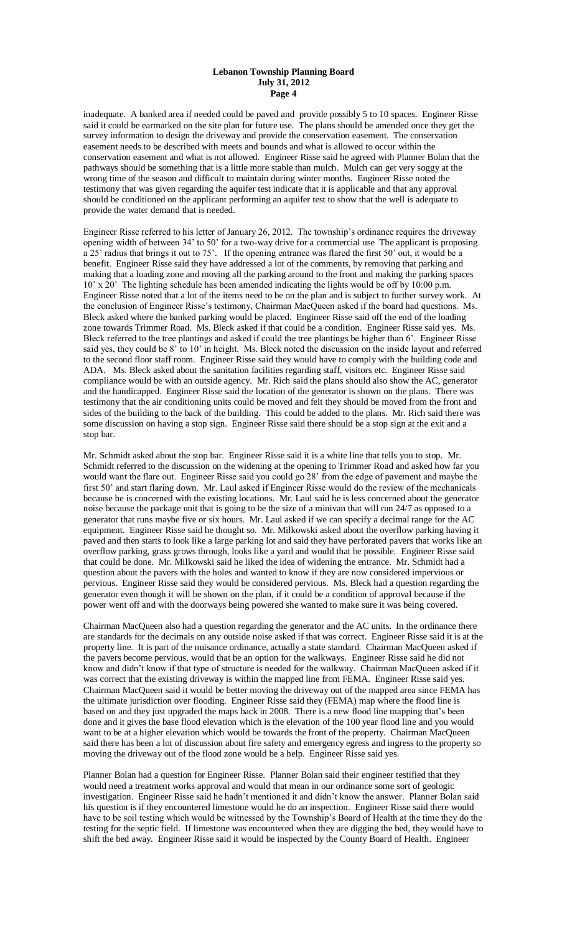#### **Lebanon Township Planning Board July 31, 2012 Page 4**

inadequate. A banked area if needed could be paved and provide possibly 5 to 10 spaces. Engineer Risse said it could be earmarked on the site plan for future use. The plans should be amended once they get the survey information to design the driveway and provide the conservation easement. The conservation easement needs to be described with meets and bounds and what is allowed to occur within the conservation easement and what is not allowed. Engineer Risse said he agreed with Planner Bolan that the pathways should be something that is a little more stable than mulch. Mulch can get very soggy at the wrong time of the season and difficult to maintain during winter months. Engineer Risse noted the testimony that was given regarding the aquifer test indicate that it is applicable and that any approval should be conditioned on the applicant performing an aquifer test to show that the well is adequate to provide the water demand that is needed.

Engineer Risse referred to his letter of January 26, 2012. The township's ordinance requires the driveway opening width of between 34' to 50' for a two-way drive for a commercial use The applicant is proposing a 25' radius that brings it out to 75'. If the opening entrance was flared the first 50' out, it would be a benefit. Engineer Risse said they have addressed a lot of the comments, by removing that parking and making that a loading zone and moving all the parking around to the front and making the parking spaces 10' x 20' The lighting schedule has been amended indicating the lights would be off by 10:00 p.m. Engineer Risse noted that a lot of the items need to be on the plan and is subject to further survey work. At the conclusion of Engineer Risse's testimony, Chairman MacQueen asked if the board had questions. Ms. Bleck asked where the banked parking would be placed. Engineer Risse said off the end of the loading zone towards Trimmer Road. Ms. Bleck asked if that could be a condition. Engineer Risse said yes. Ms. Bleck referred to the tree plantings and asked if could the tree plantings be higher than 6'. Engineer Risse said yes, they could be 8' to 10' in height. Ms. Bleck noted the discussion on the inside layout and referred to the second floor staff room. Engineer Risse said they would have to comply with the building code and ADA. Ms. Bleck asked about the sanitation facilities regarding staff, visitors etc. Engineer Risse said compliance would be with an outside agency. Mr. Rich said the plans should also show the AC, generator and the handicapped. Engineer Risse said the location of the generator is shown on the plans. There was testimony that the air conditioning units could be moved and felt they should be moved from the front and sides of the building to the back of the building. This could be added to the plans. Mr. Rich said there was some discussion on having a stop sign. Engineer Risse said there should be a stop sign at the exit and a stop bar.

Mr. Schmidt asked about the stop bar. Engineer Risse said it is a white line that tells you to stop. Mr. Schmidt referred to the discussion on the widening at the opening to Trimmer Road and asked how far you would want the flare out. Engineer Risse said you could go 28' from the edge of pavement and maybe the first 50' and start flaring down. Mr. Laul asked if Engineer Risse would do the review of the mechanicals because he is concerned with the existing locations. Mr. Laul said he is less concerned about the generator noise because the package unit that is going to be the size of a minivan that will run 24/7 as opposed to a generator that runs maybe five or six hours. Mr. Laul asked if we can specify a decimal range for the AC equipment. Engineer Risse said he thought so. Mr. Milkowski asked about the overflow parking having it paved and then starts to look like a large parking lot and said they have perforated pavers that works like an overflow parking, grass grows through, looks like a yard and would that be possible. Engineer Risse said that could be done. Mr. Milkowski said he liked the idea of widening the entrance. Mr. Schmidt had a question about the pavers with the holes and wanted to know if they are now considered impervious or pervious. Engineer Risse said they would be considered pervious. Ms. Bleck had a question regarding the generator even though it will be shown on the plan, if it could be a condition of approval because if the power went off and with the doorways being powered she wanted to make sure it was being covered.

Chairman MacQueen also had a question regarding the generator and the AC units. In the ordinance there are standards for the decimals on any outside noise asked if that was correct. Engineer Risse said it is at the property line. It is part of the nuisance ordinance, actually a state standard. Chairman MacQueen asked if the pavers become pervious, would that be an option for the walkways. Engineer Risse said he did not know and didn't know if that type of structure is needed for the walkway. Chairman MacQueen asked if it was correct that the existing driveway is within the mapped line from FEMA. Engineer Risse said yes. Chairman MacQueen said it would be better moving the driveway out of the mapped area since FEMA has the ultimate jurisdiction over flooding. Engineer Risse said they (FEMA) map where the flood line is based on and they just upgraded the maps back in 2008. There is a new flood line mapping that's been done and it gives the base flood elevation which is the elevation of the 100 year flood line and you would want to be at a higher elevation which would be towards the front of the property. Chairman MacQueen said there has been a lot of discussion about fire safety and emergency egress and ingress to the property so moving the driveway out of the flood zone would be a help. Engineer Risse said yes.

Planner Bolan had a question for Engineer Risse. Planner Bolan said their engineer testified that they would need a treatment works approval and would that mean in our ordinance some sort of geologic investigation. Engineer Risse said he hadn't mentioned it and didn't know the answer. Planner Bolan said his question is if they encountered limestone would he do an inspection. Engineer Risse said there would have to be soil testing which would be witnessed by the Township's Board of Health at the time they do the testing for the septic field. If limestone was encountered when they are digging the bed, they would have to shift the bed away. Engineer Risse said it would be inspected by the County Board of Health. Engineer